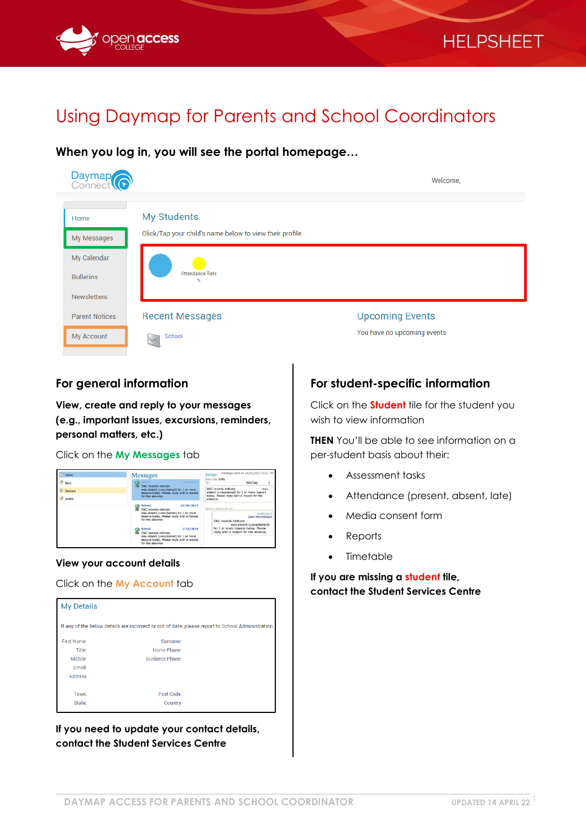

# Using Daymap for Parents and School Coordinators

**When you log in, you will see the portal homepage…**



### **For general information**

**View, create and reply to your messages (e.g., important issues, excursions, reminders, personal matters, etc.)**

Click on the **My Messages** tab



#### **View your account details**

Click on the **My Account** tab



**If you need to update your contact details, contact the Student Services Centre**

**For student-specific information**

Click on the **Student** tile for the student you wish to view information

**THEN** You'll be able to see information on a per-student basis about their:

- Assessment tasks
- Attendance (present, absent, late)
- Media consent form
- **Reports**
- Timetable

**If you are missing a student tile, contact the Student Services Centre**